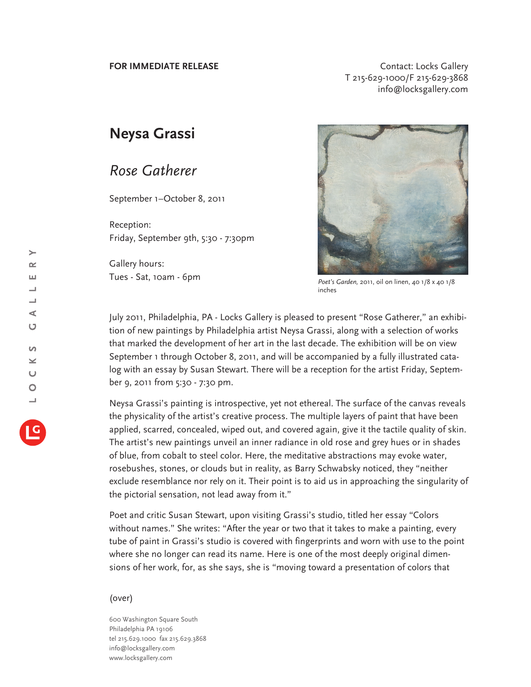**FOR IMMEDIATE RELEASE CONTACT CONTACT:** Locks Gallery T 215-629-1000/F 215-629-3868 info@locksgallery.com

## **Neysa Grassi**

## *Rose Gatherer*

September 1–October 8, 2011

Reception: Friday, September 9th, 5:30 - 7:30pm

Gallery hours: Tues - Sat, 10am - 6pm



*Poet's Garden,* 2011, oil on linen, 40 1/8 x 40 1/8 inches

July 2011, Philadelphia, PA - Locks Gallery is pleased to present "Rose Gatherer," an exhibition of new paintings by Philadelphia artist Neysa Grassi, along with a selection of works that marked the development of her art in the last decade. The exhibition will be on view September 1 through October 8, 2011, and will be accompanied by a fully illustrated catalog with an essay by Susan Stewart. There will be a reception for the artist Friday, September 9, 2011 from 5:30 - 7:30 pm.

Neysa Grassi's painting is introspective, yet not ethereal. The surface of the canvas reveals the physicality of the artist's creative process. The multiple layers of paint that have been applied, scarred, concealed, wiped out, and covered again, give it the tactile quality of skin. The artist's new paintings unveil an inner radiance in old rose and grey hues or in shades of blue, from cobalt to steel color. Here, the meditative abstractions may evoke water, rosebushes, stones, or clouds but in reality, as Barry Schwabsky noticed, they "neither exclude resemblance nor rely on it. Their point is to aid us in approaching the singularity of the pictorial sensation, not lead away from it."

Poet and critic Susan Stewart, upon visiting Grassi's studio, titled her essay "Colors without names." She writes: "After the year or two that it takes to make a painting, every tube of paint in Grassi's studio is covered with fingerprints and worn with use to the point where she no longer can read its name. Here is one of the most deeply original dimensions of her work, for, as she says, she is "moving toward a presentation of colors that

## (over)

600 Washington Square South Philadelphia PA 19106 tel 215.629.1000 fax 215.629.3868 info@locksgallery.com www.locksgallery.com

 $\rightarrow$